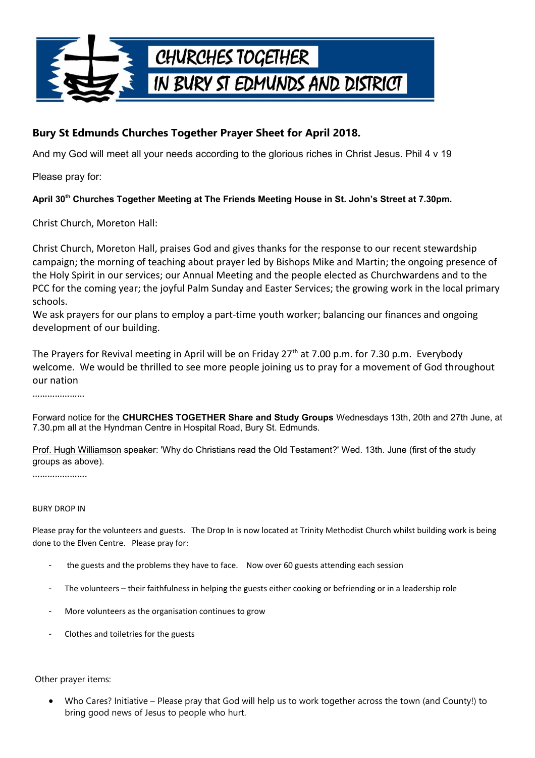

## **Bury St Edmunds Churches Together Prayer Sheet for April 2018.**

And my God will meet all your needs according to the glorious riches in Christ Jesus. Phil 4 v 19

Please pray for:

## **April 30th Churches Together Meeting at The Friends Meeting House in St. John's Street at 7.30pm.**

Christ Church, Moreton Hall:

Christ Church, Moreton Hall, praises God and gives thanks for the response to our recent stewardship campaign; the morning of teaching about prayer led by Bishops Mike and Martin; the ongoing presence of the Holy Spirit in our services; our Annual Meeting and the people elected as Churchwardens and to the PCC for the coming year; the joyful Palm Sunday and Easter Services; the growing work in the local primary schools.

We ask prayers for our plans to employ a part-time youth worker; balancing our finances and ongoing development of our building.

The Prayers for Revival meeting in April will be on Friday 27<sup>th</sup> at 7.00 p.m. for 7.30 p.m. Everybody welcome. We would be thrilled to see more people joining us to pray for a movement of God throughout our nation

…………………

Forward notice for the **CHURCHES TOGETHER Share and Study Groups** Wednesdays 13th, 20th and 27th June, at 7.30.pm all at the Hyndman Centre in Hospital Road, Bury St. Edmunds.

 Prof. Hugh Williamson speaker: 'Why do Christians read the Old Testament?' Wed. 13th. June (first of the study groups as above).

………………………

## BURY DROP IN

Please pray for the volunteers and guests. The Drop In is now located at Trinity Methodist Church whilst building work is being done to the Elven Centre. Please pray for:

- the guests and the problems they have to face. Now over 60 guests attending each session
- The volunteers their faithfulness in helping the guests either cooking or befriending or in a leadership role
- More volunteers as the organisation continues to grow
- Clothes and toiletries for the guests

Other prayer items:

 Who Cares? Initiative – Please pray that God will help us to work together across the town (and County!) to bring good news of Jesus to people who hurt.